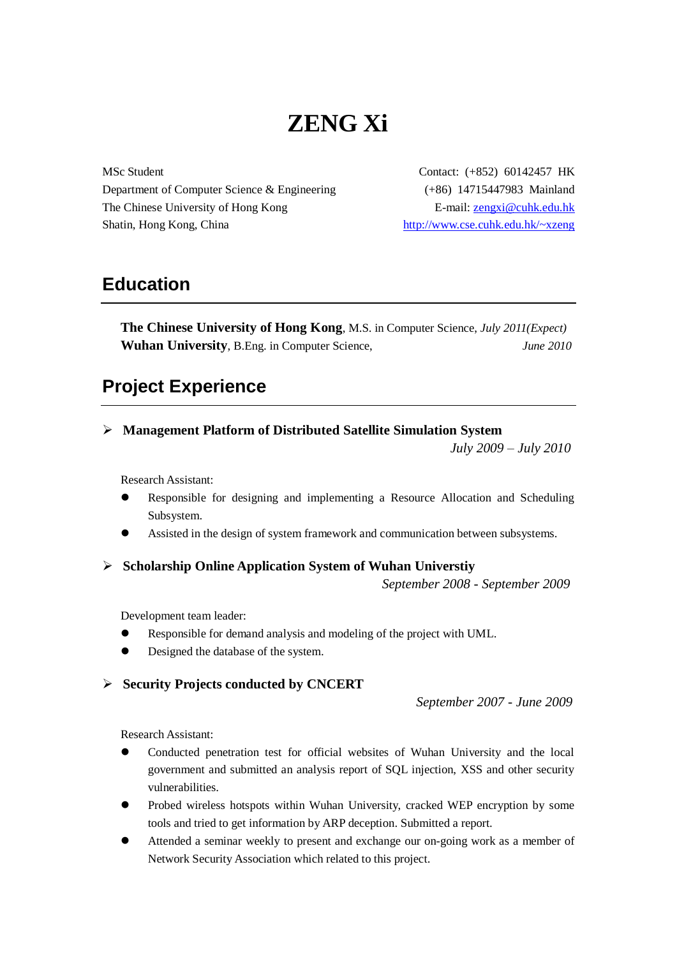# **ZENG Xi**

MSc Student Department of Computer Science & Engineering The Chinese University of Hong Kong Shatin, Hong Kong, China

Contact: (+852) 60142457 HK (+86) 14715447983 Mainland E-mail: [zengxi@cuhk.edu.hk](mailto:zengxi@cuhk.edu.hk) <http://www.cse.cuhk.edu.hk/~xzeng>

### **Education**

**The Chinese University of Hong Kong**, M.S. in Computer Science, *July 2011(Expect)* **Wuhan University**, B.Eng. in Computer Science, *June 2010*

### **Project Experience**

#### **Management Platform of Distributed Satellite Simulation System**

*July 2009 – July 2010*

Research Assistant:

- Responsible for designing and implementing a Resource Allocation and Scheduling Subsystem.
- Assisted in the design of system framework and communication between subsystems.
- **Scholarship Online Application System of Wuhan Universtiy**

*September 2008 - September 2009*

Development team leader:

- Responsible for demand analysis and modeling of the project with UML.
- Designed the database of the system.

#### **Security Projects conducted by CNCERT**

*September 2007 - June 2009*

Research Assistant:

- Conducted penetration test for official websites of Wuhan University and the local government and submitted an analysis report of SQL injection, XSS and other security vulnerabilities.
- Probed wireless hotspots within Wuhan University, cracked WEP encryption by some tools and tried to get information by ARP deception. Submitted a report.
- Attended a seminar weekly to present and exchange our on-going work as a member of Network Security Association which related to this project.